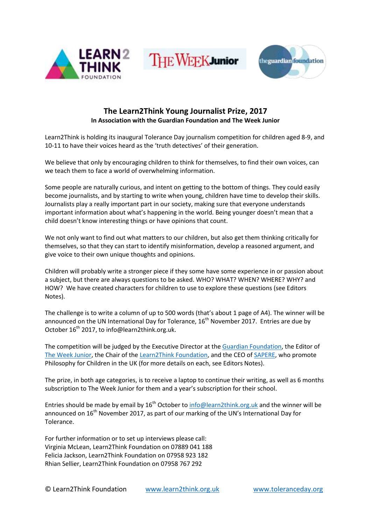

**THE WEEKJunior** 



# **The Learn2Think Young Journalist Prize, 2017 In Association with the Guardian Foundation and The Week Junior**

Learn2Think is holding its inaugural Tolerance Day journalism competition for children aged 8-9, and 10-11 to have their voices heard as the 'truth detectives' of their generation.

We believe that only by encouraging children to think for themselves, to find their own voices, can we teach them to face a world of overwhelming information.

Some people are naturally curious, and intent on getting to the bottom of things. They could easily become journalists, and by starting to write when young, children have time to develop their skills. Journalists play a really important part in our society, making sure that everyone understands important information about what's happening in the world. Being younger doesn't mean that a child doesn't know interesting things or have opinions that count.

We not only want to find out what matters to our children, but also get them thinking critically for themselves, so that they can start to identify misinformation, develop a reasoned argument, and give voice to their own unique thoughts and opinions.

Children will probably write a stronger piece if they some have some experience in or passion about a subject, but there are always questions to be asked. WHO? WHAT? WHEN? WHERE? WHY? and HOW? We have created characters for children to use to explore these questions (see Editors Notes).

The challenge is to write a column of up to 500 words (that's about 1 page of A4). The winner will be announced on the UN International Day for Tolerance,  $16<sup>th</sup>$  November 2017. Entries are due by October  $16^{th}$  2017, to info@learn2think.org.uk.

The competition will be judged by the Executive Director at th[e Guardian Foundation,](https://www.google.co.uk/url?sa=t&rct=j&q=&esrc=s&source=web&cd=1&cad=rja&uact=8&ved=0ahUKEwi3jN3biKXWAhWMIcAKHXinBrMQFggwMAA&url=https%3A%2F%2Fwww.theguardian.com%2Fthe-guardian-foundation&usg=AFQjCNEheU26WvFUhcOxVWegMQmKOWuX4w) the Editor of [The Week Junior,](http://www.theweekjunior.co.uk/) the Chair of the [Learn2Think Foundation,](http://www.learn2think.org.uk/) and the CEO o[f SAPERE,](http://www.sapere.org.uk/) who promote Philosophy for Children in the UK (for more details on each, see Editors Notes).

The prize, in both age categories, is to receive a laptop to continue their writing, as well as 6 months subscription to The Week Junior for them and a year's subscription for their school.

Entries should be made by email by  $16^{th}$  October t[o info@learn2think.org.uk](mailto:info@learn2think.org.uk) and the winner will be announced on  $16<sup>th</sup>$  November 2017, as part of our marking of the UN's International Day for Tolerance.

For further information or to set up interviews please call: Virginia McLean, Learn2Think Foundation on 07889 041 188 Felicia Jackson, Learn2Think Foundation on 07958 923 182 Rhian Sellier, Learn2Think Foundation on 07958 767 292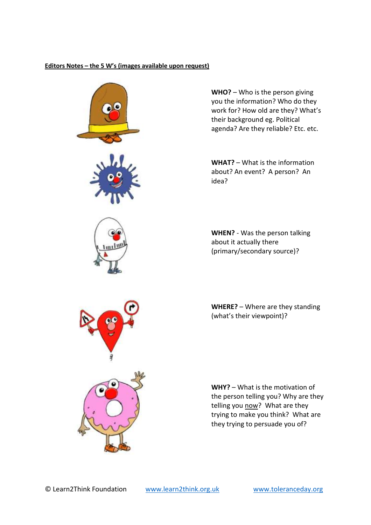## **Editors Notes – the 5 W's (images available upon request)**



**WHO?** – Who is the person giving you the information? Who do they work for? How old are they? What's their background eg. Political agenda? Are they reliable? Etc. etc.

**WHAT?** – What is the information about? An event? A person? An idea?

**WHEN?** - Was the person talking about it actually there (primary/secondary source)?

**WHERE?** – Where are they standing (what's their viewpoint)?

**WHY?** – What is the motivation of the person telling you? Why are they telling you now? What are they trying to make you think? What are they trying to persuade you of?